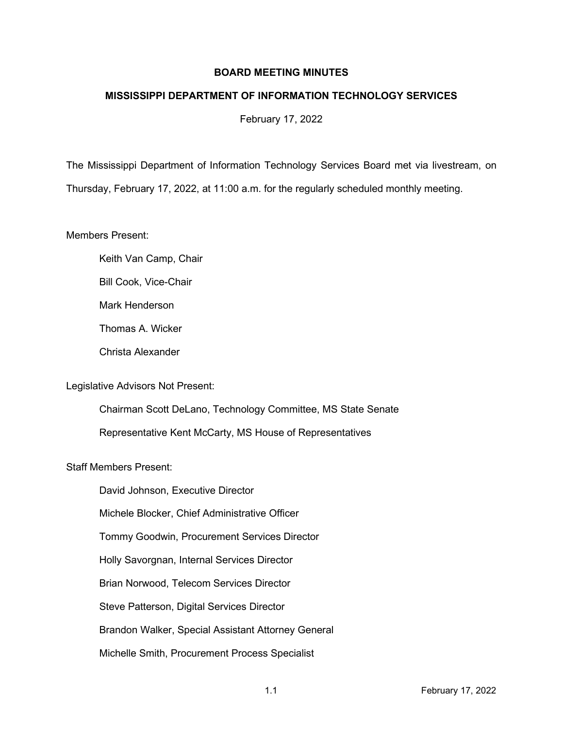## **BOARD MEETING MINUTES**

## **MISSISSIPPI DEPARTMENT OF INFORMATION TECHNOLOGY SERVICES**

February 17, 2022

The Mississippi Department of Information Technology Services Board met via livestream, on Thursday, February 17, 2022, at 11:00 a.m. for the regularly scheduled monthly meeting.

Members Present:

- Keith Van Camp, Chair
- Bill Cook, Vice-Chair
- Mark Henderson
- Thomas A. Wicker
- Christa Alexander

## Legislative Advisors Not Present:

Chairman Scott DeLano, Technology Committee, MS State Senate Representative Kent McCarty, MS House of Representatives

## Staff Members Present:

David Johnson, Executive Director Michele Blocker, Chief Administrative Officer Tommy Goodwin, Procurement Services Director Holly Savorgnan, Internal Services Director Brian Norwood, Telecom Services Director Steve Patterson, Digital Services Director Brandon Walker, Special Assistant Attorney General Michelle Smith, Procurement Process Specialist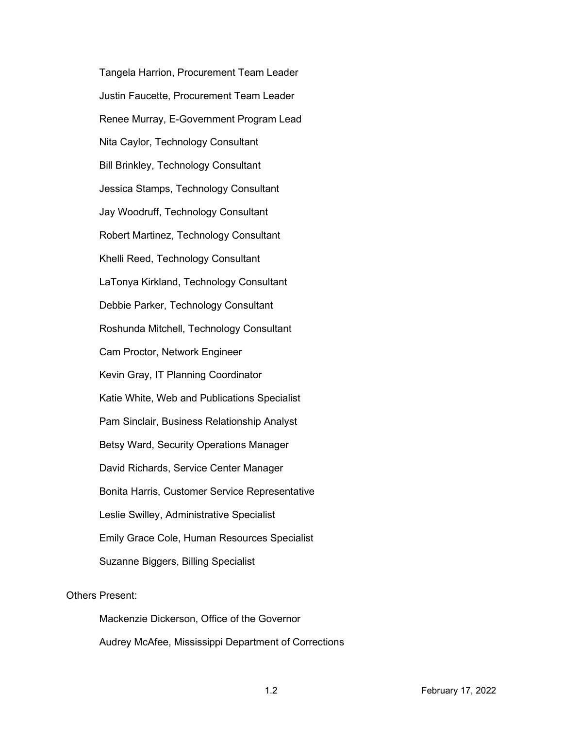Tangela Harrion, Procurement Team Leader Justin Faucette, Procurement Team Leader Renee Murray, E-Government Program Lead Nita Caylor, Technology Consultant Bill Brinkley, Technology Consultant Jessica Stamps, Technology Consultant Jay Woodruff, Technology Consultant Robert Martinez, Technology Consultant Khelli Reed, Technology Consultant LaTonya Kirkland, Technology Consultant Debbie Parker, Technology Consultant Roshunda Mitchell, Technology Consultant Cam Proctor, Network Engineer Kevin Gray, IT Planning Coordinator Katie White, Web and Publications Specialist Pam Sinclair, Business Relationship Analyst Betsy Ward, Security Operations Manager David Richards, Service Center Manager Bonita Harris, Customer Service Representative Leslie Swilley, Administrative Specialist Emily Grace Cole, Human Resources Specialist Suzanne Biggers, Billing Specialist

## Others Present:

Mackenzie Dickerson, Office of the Governor Audrey McAfee, Mississippi Department of Corrections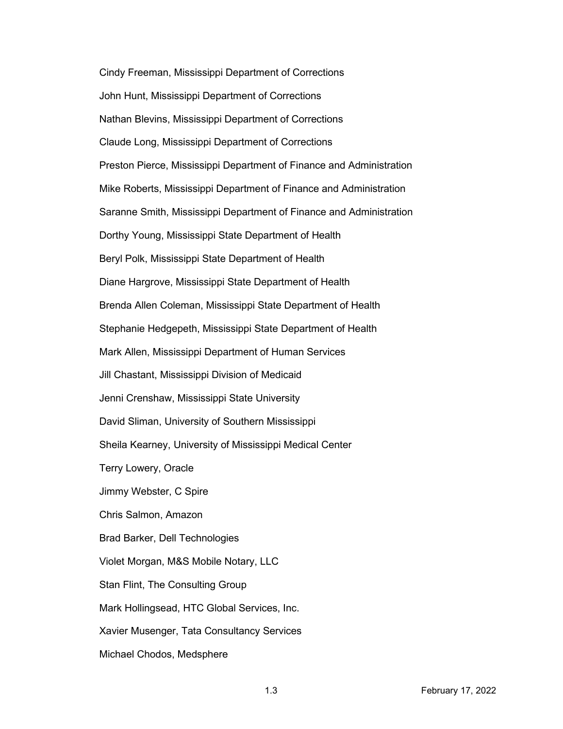Cindy Freeman, Mississippi Department of Corrections John Hunt, Mississippi Department of Corrections Nathan Blevins, Mississippi Department of Corrections Claude Long, Mississippi Department of Corrections Preston Pierce, Mississippi Department of Finance and Administration Mike Roberts, Mississippi Department of Finance and Administration Saranne Smith, Mississippi Department of Finance and Administration Dorthy Young, Mississippi State Department of Health Beryl Polk, Mississippi State Department of Health Diane Hargrove, Mississippi State Department of Health Brenda Allen Coleman, Mississippi State Department of Health Stephanie Hedgepeth, Mississippi State Department of Health Mark Allen, Mississippi Department of Human Services Jill Chastant, Mississippi Division of Medicaid Jenni Crenshaw, Mississippi State University David Sliman, University of Southern Mississippi Sheila Kearney, University of Mississippi Medical Center Terry Lowery, Oracle Jimmy Webster, C Spire Chris Salmon, Amazon Brad Barker, Dell Technologies Violet Morgan, M&S Mobile Notary, LLC Stan Flint, The Consulting Group Mark Hollingsead, HTC Global Services, Inc. Xavier Musenger, Tata Consultancy Services Michael Chodos, Medsphere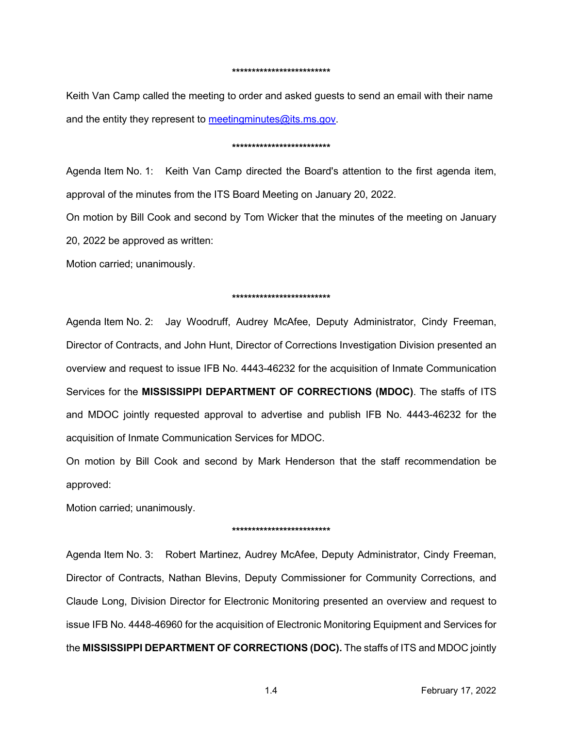#### **\*\*\*\*\*\*\*\*\*\*\*\*\*\*\*\*\*\*\*\*\*\*\*\*\***

Keith Van Camp called the meeting to order and asked guests to send an email with their name and the entity they represent to [meetingminutes@its.ms.gov.](mailto:meetingminutes@its.ms.gov)

#### **\*\*\*\*\*\*\*\*\*\*\*\*\*\*\*\*\*\*\*\*\*\*\*\*\***

Agenda Item No. 1: Keith Van Camp directed the Board's attention to the first agenda item, approval of the minutes from the ITS Board Meeting on January 20, 2022.

On motion by Bill Cook and second by Tom Wicker that the minutes of the meeting on January 20, 2022 be approved as written:

Motion carried; unanimously.

#### **\*\*\*\*\*\*\*\*\*\*\*\*\*\*\*\*\*\*\*\*\*\*\*\*\***

Agenda Item No. 2: Jay Woodruff, Audrey McAfee, Deputy Administrator, Cindy Freeman, Director of Contracts, and John Hunt, Director of Corrections Investigation Division presented an overview and request to issue IFB No. 4443-46232 for the acquisition of Inmate Communication Services for the **MISSISSIPPI DEPARTMENT OF CORRECTIONS (MDOC)**. The staffs of ITS and MDOC jointly requested approval to advertise and publish IFB No. 4443-46232 for the acquisition of Inmate Communication Services for MDOC.

On motion by Bill Cook and second by Mark Henderson that the staff recommendation be approved:

Motion carried; unanimously.

#### **\*\*\*\*\*\*\*\*\*\*\*\*\*\*\*\*\*\*\*\*\*\*\*\*\***

Agenda Item No. 3: Robert Martinez, Audrey McAfee, Deputy Administrator, Cindy Freeman, Director of Contracts, Nathan Blevins, Deputy Commissioner for Community Corrections, and Claude Long, Division Director for Electronic Monitoring presented an overview and request to issue IFB No. 4448-46960 for the acquisition of Electronic Monitoring Equipment and Services for the **MISSISSIPPI DEPARTMENT OF CORRECTIONS (DOC).** The staffs of ITS and MDOC jointly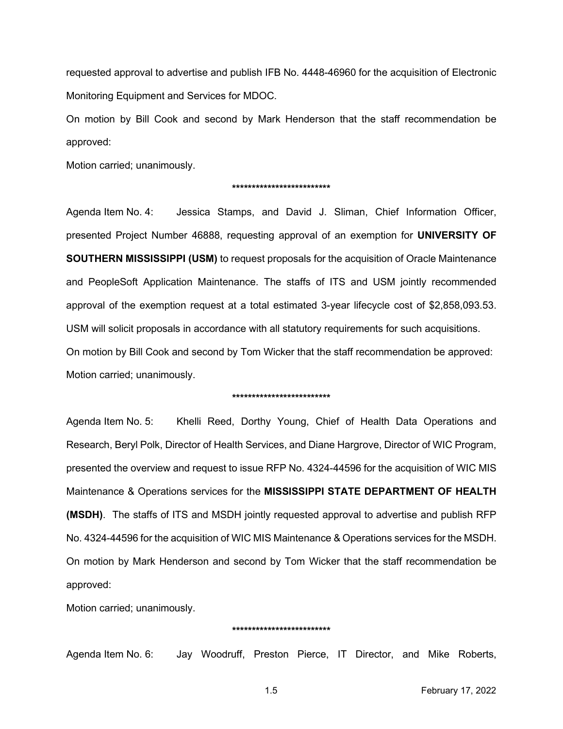requested approval to advertise and publish IFB No. 4448-46960 for the acquisition of Electronic Monitoring Equipment and Services for MDOC.

On motion by Bill Cook and second by Mark Henderson that the staff recommendation be approved:

Motion carried; unanimously.

#### **\*\*\*\*\*\*\*\*\*\*\*\*\*\*\*\*\*\*\*\*\*\*\*\*\***

Agenda Item No. 4: Jessica Stamps, and David J. Sliman, Chief Information Officer, presented Project Number 46888, requesting approval of an exemption for **UNIVERSITY OF SOUTHERN MISSISSIPPI (USM)** to request proposals for the acquisition of Oracle Maintenance and PeopleSoft Application Maintenance. The staffs of ITS and USM jointly recommended approval of the exemption request at a total estimated 3-year lifecycle cost of \$2,858,093.53. USM will solicit proposals in accordance with all statutory requirements for such acquisitions. On motion by Bill Cook and second by Tom Wicker that the staff recommendation be approved: Motion carried; unanimously.

#### **\*\*\*\*\*\*\*\*\*\*\*\*\*\*\*\*\*\*\*\*\*\*\*\*\***

Agenda Item No. 5: Khelli Reed, Dorthy Young, Chief of Health Data Operations and Research, Beryl Polk, Director of Health Services, and Diane Hargrove, Director of WIC Program, presented the overview and request to issue RFP No. 4324-44596 for the acquisition of WIC MIS Maintenance & Operations services for the **MISSISSIPPI STATE DEPARTMENT OF HEALTH (MSDH)**. The staffs of ITS and MSDH jointly requested approval to advertise and publish RFP No. 4324-44596 for the acquisition of WIC MIS Maintenance & Operations services for the MSDH. On motion by Mark Henderson and second by Tom Wicker that the staff recommendation be approved:

Motion carried; unanimously.

#### **\*\*\*\*\*\*\*\*\*\*\*\*\*\*\*\*\*\*\*\*\*\*\*\*\***

Agenda Item No. 6: Jay Woodruff, Preston Pierce, IT Director, and Mike Roberts,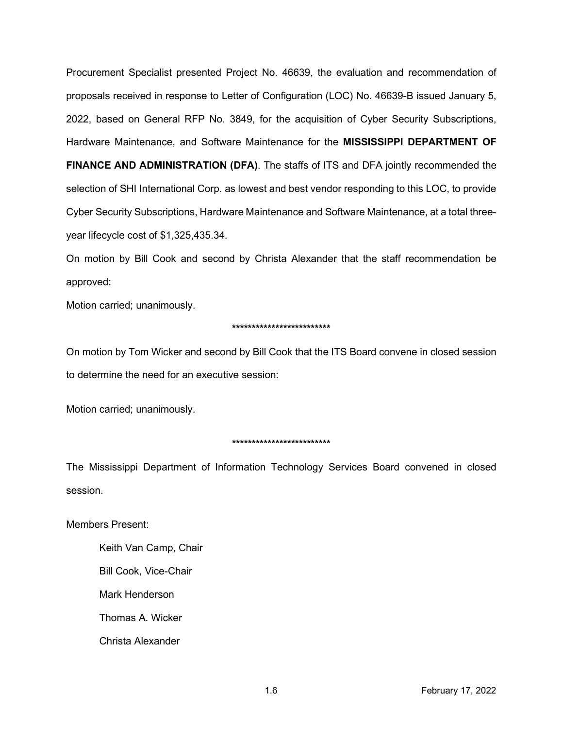Procurement Specialist presented Project No. 46639, the evaluation and recommendation of proposals received in response to Letter of Configuration (LOC) No. 46639-B issued January 5, 2022, based on General RFP No. 3849, for the acquisition of Cyber Security Subscriptions, Hardware Maintenance, and Software Maintenance for the **MISSISSIPPI DEPARTMENT OF** 

**FINANCE AND ADMINISTRATION (DFA)**. The staffs of ITS and DFA jointly recommended the selection of SHI International Corp. as lowest and best vendor responding to this LOC, to provide Cyber Security Subscriptions, Hardware Maintenance and Software Maintenance, at a total threeyear lifecycle cost of \$1,325,435.34.

On motion by Bill Cook and second by Christa Alexander that the staff recommendation be approved:

Motion carried; unanimously.

### **\*\*\*\*\*\*\*\*\*\*\*\*\*\*\*\*\*\*\*\*\*\*\*\*\***

On motion by Tom Wicker and second by Bill Cook that the ITS Board convene in closed session to determine the need for an executive session:

Motion carried; unanimously.

# **\*\*\*\*\*\*\*\*\*\*\*\*\*\*\*\*\*\*\*\*\*\*\*\*\***

The Mississippi Department of Information Technology Services Board convened in closed session.

Members Present:

Keith Van Camp, Chair Bill Cook, Vice-Chair Mark Henderson Thomas A. Wicker Christa Alexander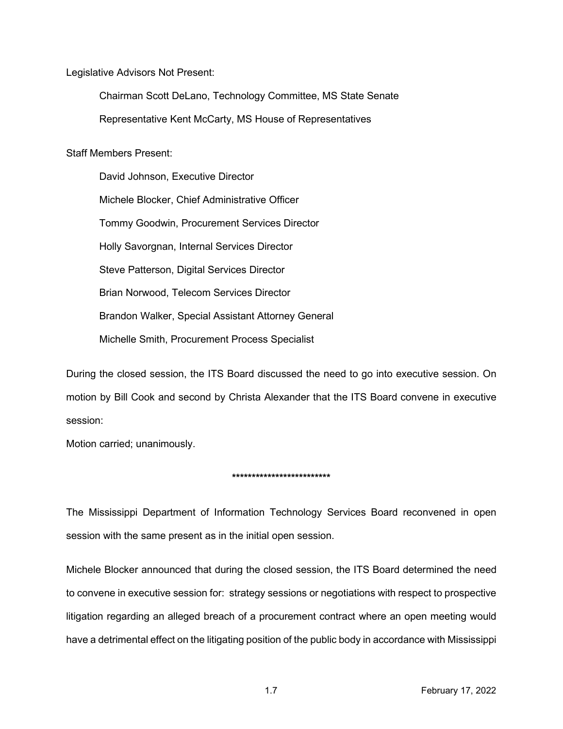Legislative Advisors Not Present:

Chairman Scott DeLano, Technology Committee, MS State Senate Representative Kent McCarty, MS House of Representatives

Staff Members Present:

David Johnson, Executive Director Michele Blocker, Chief Administrative Officer Tommy Goodwin, Procurement Services Director Holly Savorgnan, Internal Services Director Steve Patterson, Digital Services Director Brian Norwood, Telecom Services Director Brandon Walker, Special Assistant Attorney General Michelle Smith, Procurement Process Specialist

During the closed session, the ITS Board discussed the need to go into executive session. On motion by Bill Cook and second by Christa Alexander that the ITS Board convene in executive session:

Motion carried; unanimously.

## **\*\*\*\*\*\*\*\*\*\*\*\*\*\*\*\*\*\*\*\*\*\*\*\*\***

The Mississippi Department of Information Technology Services Board reconvened in open session with the same present as in the initial open session.

Michele Blocker announced that during the closed session, the ITS Board determined the need to convene in executive session for: strategy sessions or negotiations with respect to prospective litigation regarding an alleged breach of a procurement contract where an open meeting would have a detrimental effect on the litigating position of the public body in accordance with Mississippi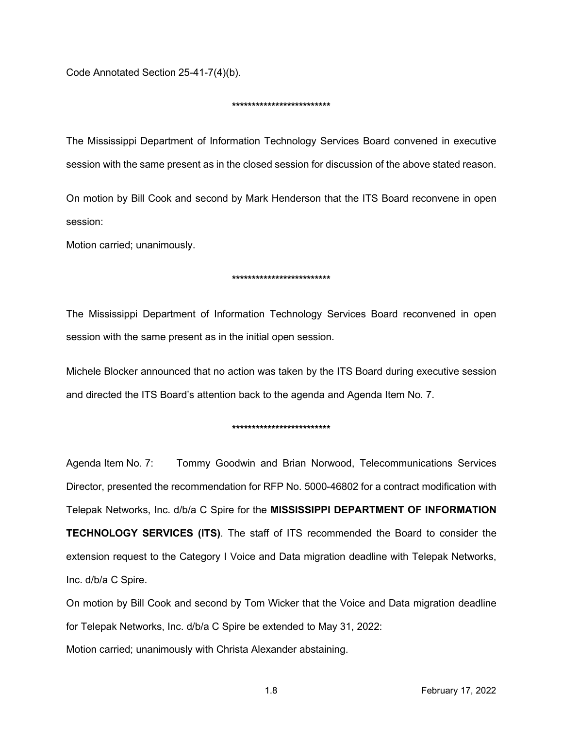Code Annotated Section 25-41-7(4)(b).

### **\*\*\*\*\*\*\*\*\*\*\*\*\*\*\*\*\*\*\*\*\*\*\*\*\***

The Mississippi Department of Information Technology Services Board convened in executive session with the same present as in the closed session for discussion of the above stated reason.

On motion by Bill Cook and second by Mark Henderson that the ITS Board reconvene in open session:

Motion carried; unanimously.

### **\*\*\*\*\*\*\*\*\*\*\*\*\*\*\*\*\*\*\*\*\*\*\*\*\***

The Mississippi Department of Information Technology Services Board reconvened in open session with the same present as in the initial open session.

Michele Blocker announced that no action was taken by the ITS Board during executive session and directed the ITS Board's attention back to the agenda and Agenda Item No. 7.

### **\*\*\*\*\*\*\*\*\*\*\*\*\*\*\*\*\*\*\*\*\*\*\*\*\***

Agenda Item No. 7: Tommy Goodwin and Brian Norwood, Telecommunications Services Director, presented the recommendation for RFP No. 5000-46802 for a contract modification with Telepak Networks, Inc. d/b/a C Spire for the **MISSISSIPPI DEPARTMENT OF INFORMATION TECHNOLOGY SERVICES (ITS)**. The staff of ITS recommended the Board to consider the extension request to the Category I Voice and Data migration deadline with Telepak Networks, Inc. d/b/a C Spire.

On motion by Bill Cook and second by Tom Wicker that the Voice and Data migration deadline for Telepak Networks, Inc. d/b/a C Spire be extended to May 31, 2022:

Motion carried; unanimously with Christa Alexander abstaining.